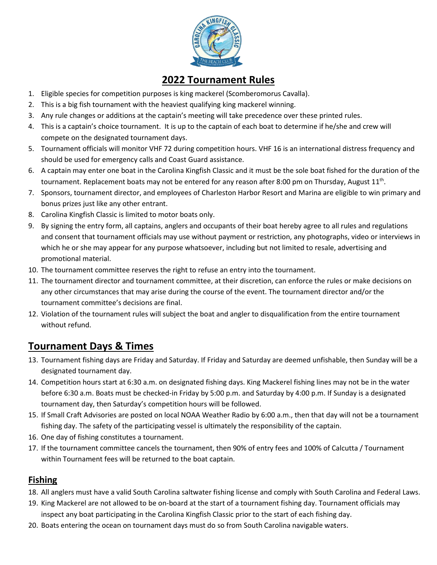

## **2022 Tournament Rules**

- 1. Eligible species for competition purposes is king mackerel (Scomberomorus Cavalla).
- 2. This is a big fish tournament with the heaviest qualifying king mackerel winning.
- 3. Any rule changes or additions at the captain's meeting will take precedence over these printed rules.
- 4. This is a captain's choice tournament. It is up to the captain of each boat to determine if he/she and crew will compete on the designated tournament days.
- 5. Tournament officials will monitor VHF 72 during competition hours. VHF 16 is an international distress frequency and should be used for emergency calls and Coast Guard assistance.
- 6. A captain may enter one boat in the Carolina Kingfish Classic and it must be the sole boat fished for the duration of the tournament. Replacement boats may not be entered for any reason after 8:00 pm on Thursday, August  $11^{\text{th}}$ .
- 7. Sponsors, tournament director, and employees of Charleston Harbor Resort and Marina are eligible to win primary and bonus prizes just like any other entrant.
- 8. Carolina Kingfish Classic is limited to motor boats only.
- 9. By signing the entry form, all captains, anglers and occupants of their boat hereby agree to all rules and regulations and consent that tournament officials may use without payment or restriction, any photographs, video or interviews in which he or she may appear for any purpose whatsoever, including but not limited to resale, advertising and promotional material.
- 10. The tournament committee reserves the right to refuse an entry into the tournament.
- 11. The tournament director and tournament committee, at their discretion, can enforce the rules or make decisions on any other circumstances that may arise during the course of the event. The tournament director and/or the tournament committee's decisions are final.
- 12. Violation of the tournament rules will subject the boat and angler to disqualification from the entire tournament without refund.

## **Tournament Days & Times**

- 13. Tournament fishing days are Friday and Saturday. If Friday and Saturday are deemed unfishable, then Sunday will be a designated tournament day.
- 14. Competition hours start at 6:30 a.m. on designated fishing days. King Mackerel fishing lines may not be in the water before 6:30 a.m. Boats must be checked-in Friday by 5:00 p.m. and Saturday by 4:00 p.m. If Sunday is a designated tournament day, then Saturday's competition hours will be followed.
- 15. If Small Craft Advisories are posted on local NOAA Weather Radio by 6:00 a.m., then that day will not be a tournament fishing day. The safety of the participating vessel is ultimately the responsibility of the captain.
- 16. One day of fishing constitutes a tournament.
- 17. If the tournament committee cancels the tournament, then 90% of entry fees and 100% of Calcutta / Tournament within Tournament fees will be returned to the boat captain.

## **Fishing**

- 18. All anglers must have a valid South Carolina saltwater fishing license and comply with South Carolina and Federal Laws.
- 19. King Mackerel are not allowed to be on-board at the start of a tournament fishing day. Tournament officials may inspect any boat participating in the Carolina Kingfish Classic prior to the start of each fishing day.
- 20. Boats entering the ocean on tournament days must do so from South Carolina navigable waters.